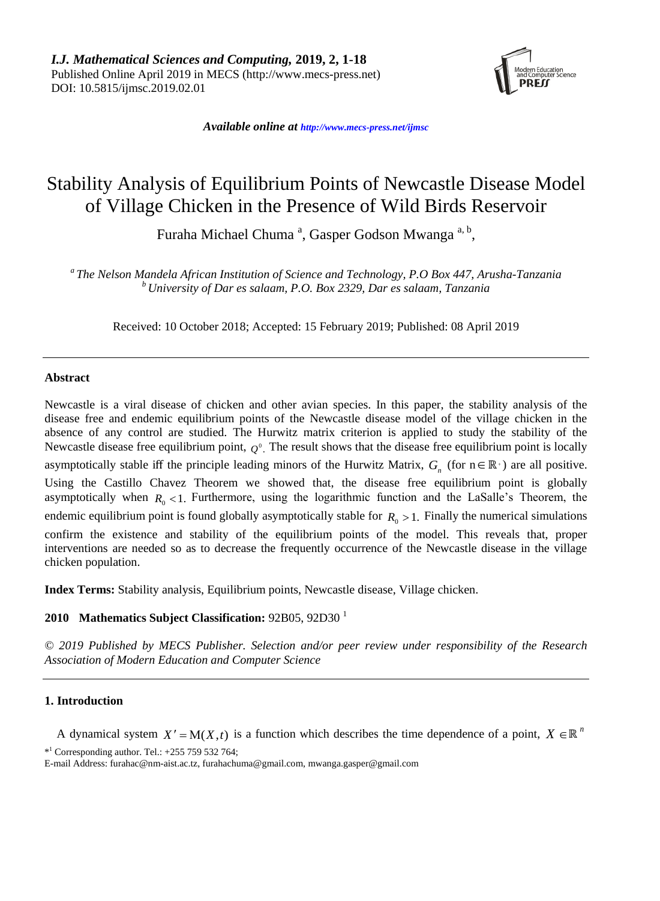

*Available online at [http://www.mecs-press.net/ijm](http://www.mecs-press.net/ijwmt)sc*

# Stability Analysis of Equilibrium Points of Newcastle Disease Model of Village Chicken in the Presence of Wild Birds Reservoir

Furaha Michael Chuma<sup>a</sup>, Gasper Godson Mwanga<sup>a, b</sup>,

*a The Nelson Mandela African Institution of Science and Technology, P.O Box 447, Arusha-Tanzania <sup>b</sup> University of Dar es salaam, P.O. Box 2329, Dar es salaam, Tanzania*

Received: 10 October 2018; Accepted: 15 February 2019; Published: 08 April 2019

# **Abstract**

Newcastle is a viral disease of chicken and other avian species. In this paper, the stability analysis of the disease free and endemic equilibrium points of the Newcastle disease model of the village chicken in the absence of any control are studied. The Hurwitz matrix criterion is applied to study the stability of the Newcastle disease free equilibrium point,  $Q^0$ . The result shows that the disease free equilibrium point is locally asymptotically stable iff the principle leading minors of the Hurwitz Matrix,  $G_n$  (for  $n \in \mathbb{R}^+$ ) are all positive. Using the Castillo Chavez Theorem we showed that, the disease free equilibrium point is globally asymptotically when  $R_0 < 1$ . Furthermore, using the logarithmic function and the LaSalle's Theorem, the endemic equilibrium point is found globally asymptotically stable for  $R_0 > 1$ . Finally the numerical simulations confirm the existence and stability of the equilibrium points of the model. This reveals that, proper interventions are needed so as to decrease the frequently occurrence of the Newcastle disease in the village chicken population.

**Index Terms:** Stability analysis, Equilibrium points, Newcastle disease, Village chicken.

# **2010 Mathematics Subject Classification:** 92B05, 92D30 <sup>1</sup>

*© 2019 Published by MECS Publisher. Selection and/or peer review under responsibility of the Research Association of Modern Education and Computer Science*

# **1. Introduction**

A dynamical system  $X' = M(X,t)$  is a function which describes the time dependence of a point,  $X \in \mathbb{R}^n$ 

 $*$ <sup>1</sup> Corresponding author. Tel.:  $+255$  759 532 764;

E-mail Address: furahac@nm-aist.ac.tz, furahachuma@gmail.com, mwanga.gasper@gmail.com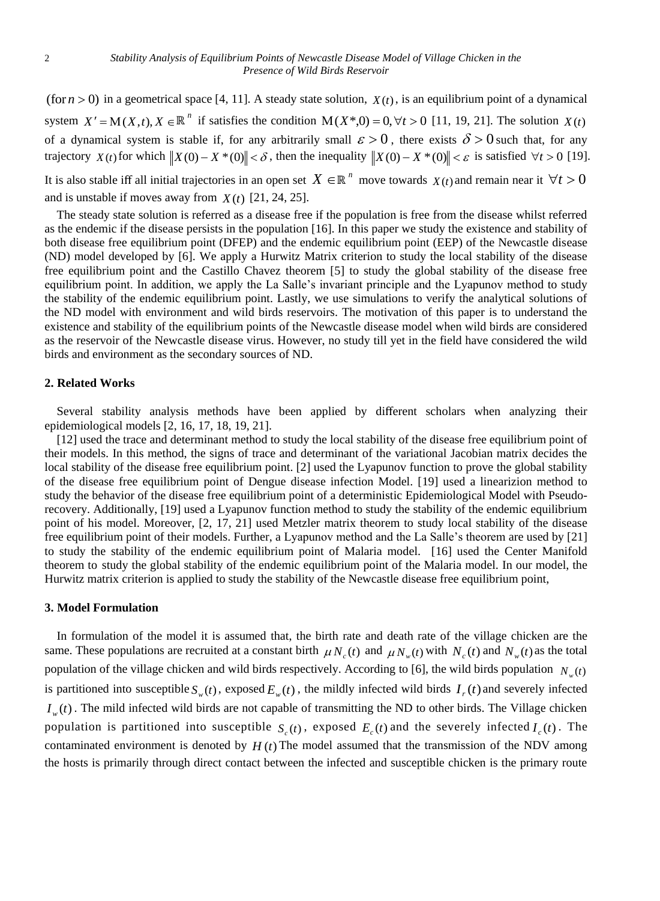(for  $n > 0$ ) in a geometrical space [4, 11]. A steady state solution,  $X(t)$ , is an equilibrium point of a dynamical system  $X' = M(X,t)$ ,  $X \in \mathbb{R}^n$  if satisfies the condition  $M(X^*,0) = 0, \forall t > 0$  [11, 19, 21]. The solution  $X(t)$ of a dynamical system is stable if, for any arbitrarily small  $\varepsilon > 0$ , there exists  $\delta > 0$  such that, for any trajectory  $X(t)$  for which  $||X(0) - X^*(0)|| < \delta$ , then the inequality  $||X(0) - X^*(0)|| < \varepsilon$  is satisfied  $\forall t > 0$  [19].

It is also stable iff all initial trajectories in an open set  $X \in \mathbb{R}^n$  move towards  $\chi(t)$  and remain near it  $\forall t > 0$ and is unstable if moves away from  $X(t)$  [21, 24, 25].

The steady state solution is referred as a disease free if the population is free from the disease whilst referred as the endemic if the disease persists in the population [16]. In this paper we study the existence and stability of both disease free equilibrium point (DFEP) and the endemic equilibrium point (EEP) of the Newcastle disease (ND) model developed by [6]. We apply a Hurwitz Matrix criterion to study the local stability of the disease free equilibrium point and the Castillo Chavez theorem [5] to study the global stability of the disease free equilibrium point. In addition, we apply the La Salle's invariant principle and the Lyapunov method to study the stability of the endemic equilibrium point. Lastly, we use simulations to verify the analytical solutions of the ND model with environment and wild birds reservoirs. The motivation of this paper is to understand the existence and stability of the equilibrium points of the Newcastle disease model when wild birds are considered as the reservoir of the Newcastle disease virus. However, no study till yet in the field have considered the wild birds and environment as the secondary sources of ND.

#### **2. Related Works**

Several stability analysis methods have been applied by different scholars when analyzing their epidemiological models [2, 16, 17, 18, 19, 21].

[12] used the trace and determinant method to study the local stability of the disease free equilibrium point of their models. In this method, the signs of trace and determinant of the variational Jacobian matrix decides the local stability of the disease free equilibrium point. [2] used the Lyapunov function to prove the global stability of the disease free equilibrium point of Dengue disease infection Model. [19] used a linearizion method to study the behavior of the disease free equilibrium point of a deterministic Epidemiological Model with Pseudorecovery. Additionally, [19] used a Lyapunov function method to study the stability of the endemic equilibrium point of his model. Moreover, [2, 17, 21] used Metzler matrix theorem to study local stability of the disease free equilibrium point of their models. Further, a Lyapunov method and the La Salle's theorem are used by [21] to study the stability of the endemic equilibrium point of Malaria model. [16] used the Center Manifold theorem to study the global stability of the endemic equilibrium point of the Malaria model. In our model, the Hurwitz matrix criterion is applied to study the stability of the Newcastle disease free equilibrium point,

#### **3. Model Formulation**

In formulation of the model it is assumed that, the birth rate and death rate of the village chicken are the same. These populations are recruited at a constant birth  $\mu N_c(t)$  and  $\mu N_w(t)$  with  $N_c(t)$  and  $N_w(t)$  as the total population of the village chicken and wild birds respectively. According to [6], the wild birds population  $N_w(t)$ is partitioned into susceptible  $S_w(t)$ , exposed  $E_w(t)$ , the mildly infected wild birds  $I_r(t)$  and severely infected  $I_{w}(t)$ . The mild infected wild birds are not capable of transmitting the ND to other birds. The Village chicken population is partitioned into susceptible  $S_c(t)$ , exposed  $E_c(t)$  and the severely infected  $I_c(t)$ . The contaminated environment is denoted by  $H(t)$  The model assumed that the transmission of the NDV among the hosts is primarily through direct contact between the infected and susceptible chicken is the primary route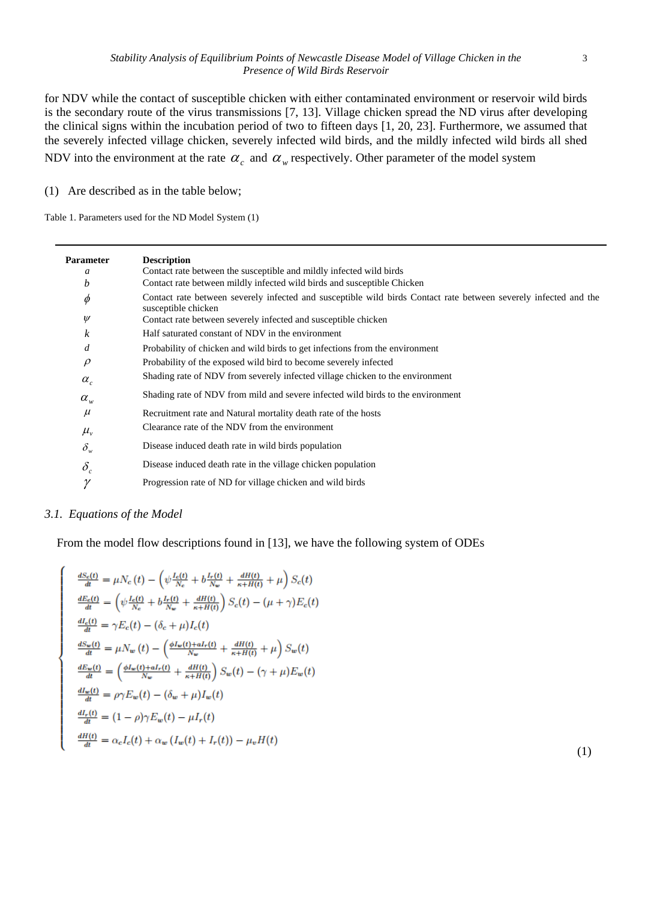for NDV while the contact of susceptible chicken with either contaminated environment or reservoir wild birds is the secondary route of the virus transmissions [7, 13]. Village chicken spread the ND virus after developing the clinical signs within the incubation period of two to fifteen days [1, 20, 23]. Furthermore, we assumed that the severely infected village chicken, severely infected wild birds, and the mildly infected wild birds all shed NDV into the environment at the rate  $\alpha_c$  and  $\alpha_w$  respectively. Other parameter of the model system

(1) Are described as in the table below;

Table 1. Parameters used for the ND Model System (1)

| <b>Parameter</b> | <b>Description</b>                                                                                                                      |
|------------------|-----------------------------------------------------------------------------------------------------------------------------------------|
| a                | Contact rate between the susceptible and mildly infected wild birds                                                                     |
| b                | Contact rate between mildly infected wild birds and susceptible Chicken                                                                 |
| $\phi$           | Contact rate between severely infected and susceptible wild birds Contact rate between severely infected and the<br>susceptible chicken |
| $\psi$           | Contact rate between severely infected and susceptible chicken                                                                          |
| k                | Half saturated constant of NDV in the environment                                                                                       |
| d                | Probability of chicken and wild birds to get infections from the environment                                                            |
| $\rho$           | Probability of the exposed wild bird to become severely infected                                                                        |
| $\alpha_{c}$     | Shading rate of NDV from severely infected village chicken to the environment                                                           |
| $\alpha_{w}$     | Shading rate of NDV from mild and severe infected wild birds to the environment                                                         |
| $\mu$            | Recruitment rate and Natural mortality death rate of the hosts                                                                          |
| $\mu_{v}$        | Clearance rate of the NDV from the environment                                                                                          |
| $\delta_w$       | Disease induced death rate in wild birds population                                                                                     |
| $\delta_c$       | Disease induced death rate in the village chicken population                                                                            |
| $\gamma$         | Progression rate of ND for village chicken and wild birds                                                                               |

# *3.1. Equations of the Model*

From the model flow descriptions found in [13], we have the following system of ODEs

$$
\frac{dS_c(t)}{dt} = \mu N_c(t) - \left(\psi \frac{I_c(t)}{N_c} + b \frac{I_r(t)}{N_w} + \frac{dH(t)}{\kappa + H(t)} + \mu\right) S_c(t)
$$
\n
$$
\frac{dE_c(t)}{dt} = \left(\psi \frac{I_c(t)}{N_c} + b \frac{I_r(t)}{N_w} + \frac{dH(t)}{\kappa + H(t)}\right) S_c(t) - (\mu + \gamma) E_c(t)
$$
\n
$$
\frac{dI_c(t)}{dt} = \gamma E_c(t) - (\delta_c + \mu) I_c(t)
$$
\n
$$
\frac{dS_w(t)}{dt} = \mu N_w(t) - \left(\frac{\phi I_w(t) + aI_r(t)}{N_w} + \frac{dH(t)}{\kappa + H(t)} + \mu\right) S_w(t)
$$
\n
$$
\frac{dE_w(t)}{dt} = \left(\frac{\phi I_w(t) + aI_r(t)}{N_w} + \frac{dH(t)}{\kappa + H(t)}\right) S_w(t) - (\gamma + \mu) E_w(t)
$$
\n
$$
\frac{dI_w(t)}{dt} = \rho \gamma E_w(t) - (\delta_w + \mu) I_w(t)
$$
\n
$$
\frac{dI_r(t)}{dt} = (1 - \rho) \gamma E_w(t) - \mu I_r(t)
$$
\n
$$
\frac{dH(t)}{dt} = \alpha_c I_c(t) + \alpha_w (I_w(t) + I_r(t)) - \mu_v H(t)
$$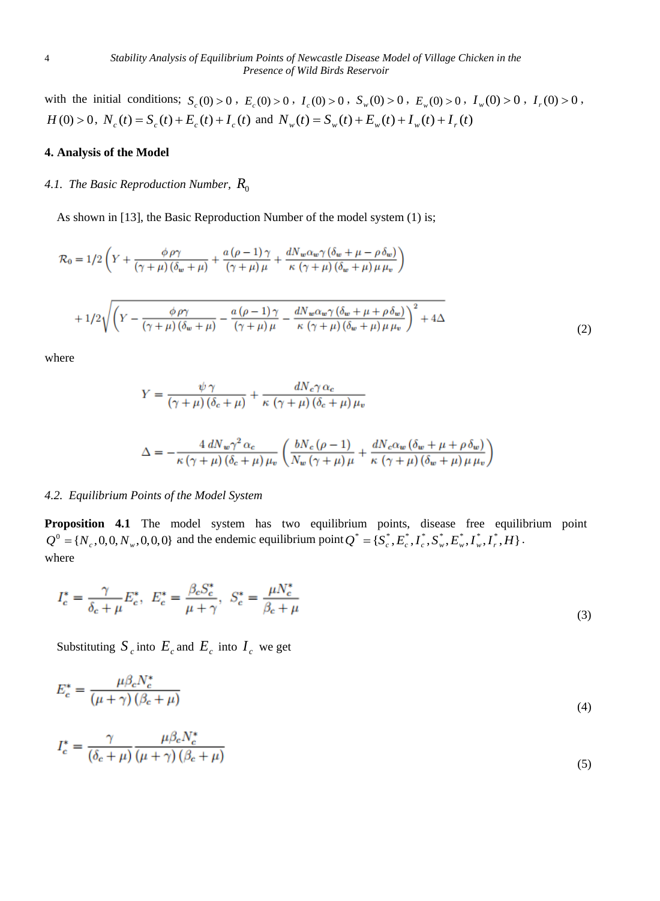with the initial conditions;  $S_c(0) > 0$ ,  $E_c(0) > 0$ ,  $I_c(0) > 0$ ,  $S_w(0) > 0$ ,  $E_w(0) > 0$ ,  $I_w(0) > 0$ ,  $I_r(0) > 0$ ,  $H(0) > 0$ ,  $N_c(t) = S_c(t) + E_c(t) + I_c(t)$  and  $N_w(t) = S_w(t) + E_w(t) + I_w(t) + I_r(t)$ 

# **4. Analysis of the Model**

# 4.1. *The Basic Reproduction Number,*  $R_{\rm 0}^{\rm 0}$

As shown in [13], the Basic Reproduction Number of the model system (1) is;

$$
\mathcal{R}_0 = 1/2 \left( Y + \frac{\phi \rho \gamma}{(\gamma + \mu)(\delta_w + \mu)} + \frac{a(\rho - 1)\gamma}{(\gamma + \mu)\mu} + \frac{dN_w \alpha_w \gamma (\delta_w + \mu - \rho \delta_w)}{\kappa (\gamma + \mu)(\delta_w + \mu)\mu \mu_v} \right)
$$

$$
+ 1/2 \sqrt{\left( Y - \frac{\phi \rho \gamma}{(\gamma + \mu)(\delta_w + \mu)} - \frac{a(\rho - 1)\gamma}{(\gamma + \mu)\mu} - \frac{dN_w \alpha_w \gamma (\delta_w + \mu + \rho \delta_w)}{\kappa (\gamma + \mu)(\delta_w + \mu) \mu \mu_v} \right)^2 + 4\Delta}
$$
(2)

where

$$
Y = \frac{\psi \gamma}{(\gamma + \mu)(\delta_c + \mu)} + \frac{dN_c \gamma \alpha_c}{\kappa (\gamma + \mu)(\delta_c + \mu)\mu_v}
$$

$$
\Delta = -\frac{4 \, dN_w \gamma^2 \, \alpha_c}{\kappa \left(\gamma + \mu\right) \left(\delta_c + \mu\right) \mu_v} \left(\frac{bN_c \left(\rho - 1\right)}{N_w \left(\gamma + \mu\right) \mu} + \frac{dN_c \alpha_w \left(\delta_w + \mu + \rho \,\delta_w\right)}{\kappa \left(\gamma + \mu\right) \left(\delta_w + \mu\right) \mu \mu_v}\right)
$$

#### *4.2. Equilibrium Points of the Model System*

Proposition 4.1 The model system has two equilibrium points, disease free equilibrium point  $Q^0 = \{N_c, 0, 0, N_w, 0, 0, 0\}$  and the endemic equilibrium point  $Q^* = \{S_c^*, E_c^*, I_c^*, S_w^*, E_w^*, I_w^*, I_r^*, H\}$ . where

$$
I_c^* = \frac{\gamma}{\delta_c + \mu} E_c^*, \ E_c^* = \frac{\beta_c S_c^*}{\mu + \gamma}, \ S_c^* = \frac{\mu N_c^*}{\beta_c + \mu}
$$
\n(3)

Substituting  $S_c$  into  $E_c$  and  $E_c$  into  $I_c$  we get

$$
E_c^* = \frac{\mu \beta_c N_c^*}{\left(\mu + \gamma\right) \left(\beta_c + \mu\right)}\tag{4}
$$

$$
I_c^* = \frac{\gamma}{(\delta_c + \mu)} \frac{\mu \beta_c N_c^*}{(\mu + \gamma)(\beta_c + \mu)}
$$
\n<sup>(5)</sup>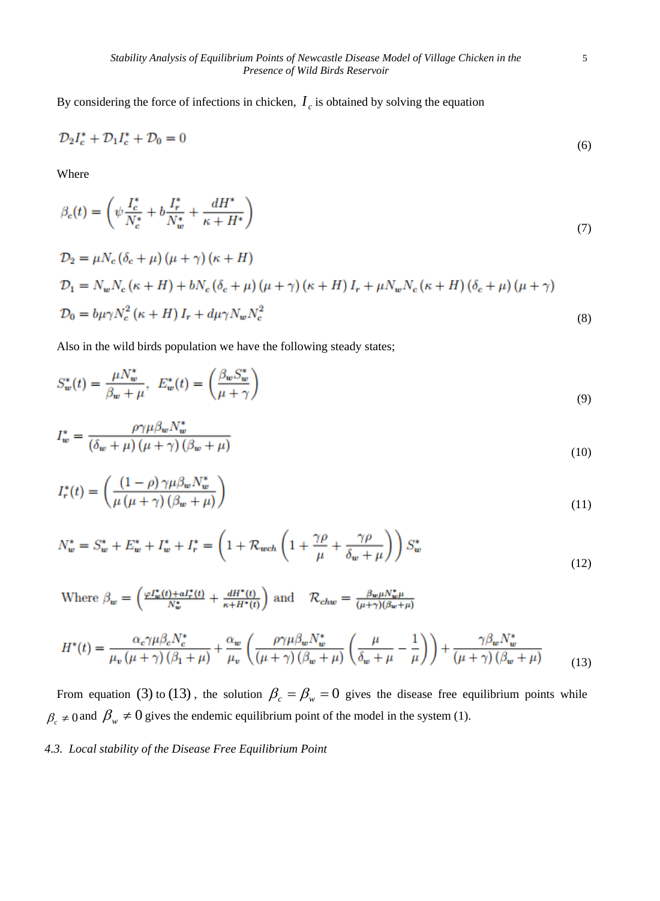By considering the force of infections in chicken,  $I_c$  is obtained by solving the equation

$$
\mathcal{D}_2 I_c^* + \mathcal{D}_1 I_c^* + \mathcal{D}_0 = 0 \tag{6}
$$

Where

$$
\beta_c(t) = \left(\psi \frac{I_c^*}{N_c^*} + b \frac{I_r^*}{N_w^*} + \frac{dH^*}{\kappa + H^*}\right)
$$
\n(7)

$$
\mathcal{D}_2 = \mu N_c (\delta_c + \mu) (\mu + \gamma) (\kappa + H)
$$
  
\n
$$
\mathcal{D}_1 = N_w N_c (\kappa + H) + b N_c (\delta_c + \mu) (\mu + \gamma) (\kappa + H) I_r + \mu N_w N_c (\kappa + H) (\delta_c + \mu) (\mu + \gamma)
$$
  
\n
$$
\mathcal{D}_0 = b \mu \gamma N_c^2 (\kappa + H) I_r + d\mu \gamma N_w N_c^2
$$
\n(8)

Also in the wild birds population we have the following steady states;

$$
S_w^*(t) = \frac{\mu N_w^*}{\beta_w + \mu}, \quad E_w^*(t) = \left(\frac{\beta_w S_w^*}{\mu + \gamma}\right) \tag{9}
$$

$$
I_w^* = \frac{\rho \gamma \mu \beta_w N_w^*}{\left(\delta_w + \mu\right) \left(\mu + \gamma\right) \left(\beta_w + \mu\right)}\tag{10}
$$

$$
I_r^*(t) = \left(\frac{(1-\rho)\,\gamma\mu\beta_w N_w^*}{\mu\left(\mu + \gamma\right)\left(\beta_w + \mu\right)}\right) \tag{11}
$$

$$
N_w^* = S_w^* + E_w^* + I_w^* + I_r^* = \left(1 + \mathcal{R}_{wch}\left(1 + \frac{\gamma \rho}{\mu} + \frac{\gamma \rho}{\delta_w + \mu}\right)\right) S_w^* \tag{12}
$$

Where  $\beta_w=\left(\frac{\varphi I_w^*(t)+aI_r^*(t)}{N_w^*}+\frac{dH^*(t)}{\kappa+H^*(t)}\right)$  and  $-\mathcal{R}_{chw}=\frac{\beta_w\mu N_w^*\mu}{(\mu+\gamma)(\beta_w+\mu)}$ 

$$
H^*(t) = \frac{\alpha_c \gamma \mu \beta_c N_c^*}{\mu_v (\mu + \gamma) (\beta_1 + \mu)} + \frac{\alpha_w}{\mu_v} \left( \frac{\rho \gamma \mu \beta_w N_w^*}{(\mu + \gamma) (\beta_w + \mu)} \left( \frac{\mu}{\delta_w + \mu} - \frac{1}{\mu} \right) \right) + \frac{\gamma \beta_w N_w^*}{(\mu + \gamma) (\beta_w + \mu)}
$$
(13)

From equation (3) to (13), the solution  $\beta_c = \beta_w = 0$  gives the disease free equilibrium points while  $\beta_c \neq 0$  and  $\beta_w \neq 0$  gives the endemic equilibrium point of the model in the system (1).

# *4.3. Local stability of the Disease Free Equilibrium Point*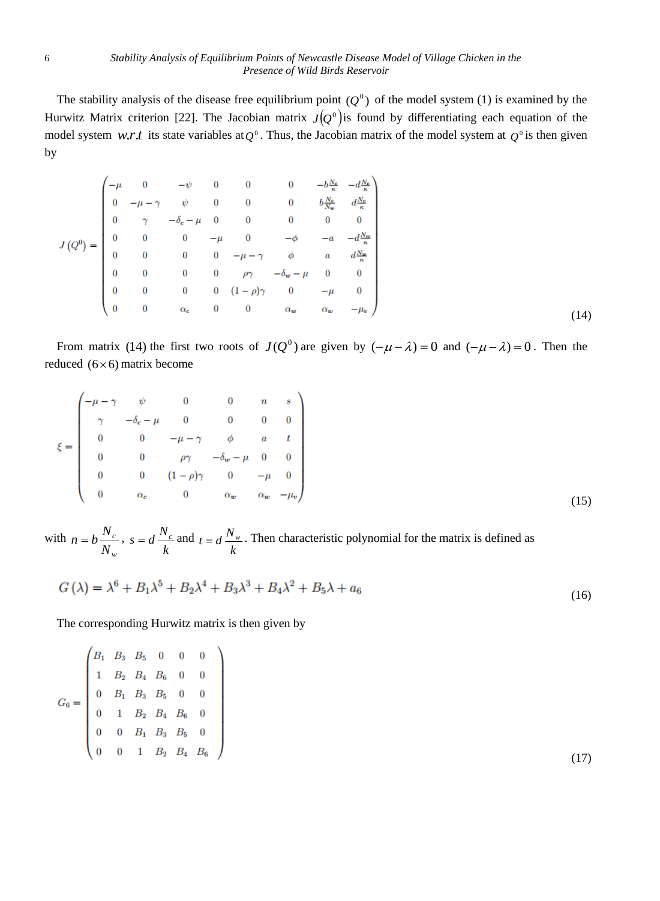The stability analysis of the disease free equilibrium point  $(Q^0)$  of the model system (1) is examined by the Hurwitz Matrix criterion [22]. The Jacobian matrix  $J(Q^0)$  is found by differentiating each equation of the model system *w.r.t* its state variables at  $Q^0$ . Thus, the Jacobian matrix of the model system at  $Q^0$  is then given by

$$
J(Q^{0}) = \begin{pmatrix}\n-\mu & 0 & -\psi & 0 & 0 & 0 & -b\frac{N_{e}}{\kappa} & -d\frac{N_{e}}{\kappa} \\
0 & -\mu - \gamma & \psi & 0 & 0 & 0 & b\frac{N_{e}}{N_{w}} & d\frac{N_{e}}{\kappa} \\
0 & \gamma & -\delta_{c} - \mu & 0 & 0 & 0 & 0 & 0 \\
0 & 0 & 0 & -\mu & 0 & -\phi & -a & -d\frac{N_{w}}{\kappa} \\
0 & 0 & 0 & 0 & -\mu - \gamma & \phi & a & d\frac{N_{w}}{\kappa} \\
0 & 0 & 0 & 0 & \rho\gamma & -\delta_{w} - \mu & 0 & 0 \\
0 & 0 & 0 & 0 & (1 - \rho)\gamma & 0 & -\mu & 0 \\
0 & 0 & \alpha_{c} & 0 & 0 & \alpha_{w} & \alpha_{w} & -\mu_{v}\n\end{pmatrix}
$$
\n(14)

From matrix (14) the first two roots of  $J(Q^0)$  are given by  $(-\mu - \lambda) = 0$  and  $(-\mu - \lambda) = 0$ . Then the reduced  $(6 \times 6)$  matrix become

$$
\xi = \begin{pmatrix}\n-\mu - \gamma & \psi & 0 & 0 & n & s \\
\gamma & -\delta_c - \mu & 0 & 0 & 0 & 0 \\
0 & 0 & -\mu - \gamma & \phi & a & t \\
0 & 0 & \rho \gamma & -\delta_w - \mu & 0 & 0 \\
0 & 0 & (1 - \rho) \gamma & 0 & -\mu & 0 \\
0 & \alpha_c & 0 & \alpha_w & \alpha_w & -\mu_v\n\end{pmatrix}
$$
\n(15)

with *w c N*  $n = b \frac{N_c}{N}$ *k*  $s = d \frac{N_c}{I}$  and *k*  $t = d \frac{N_w}{N}$ . Then characteristic polynomial for the matrix is defined as

$$
G(\lambda) = \lambda^6 + B_1 \lambda^5 + B_2 \lambda^4 + B_3 \lambda^3 + B_4 \lambda^2 + B_5 \lambda + a_6
$$
\n(16)

The corresponding Hurwitz matrix is then given by

$$
G_6 = \begin{pmatrix} B_1 & B_3 & B_5 & 0 & 0 & 0 \\ 1 & B_2 & B_4 & B_6 & 0 & 0 \\ 0 & B_1 & B_3 & B_5 & 0 & 0 \\ 0 & 1 & B_2 & B_4 & B_6 & 0 \\ 0 & 0 & B_1 & B_3 & B_5 & 0 \\ 0 & 0 & 1 & B_2 & B_4 & B_6 \end{pmatrix}
$$
(17)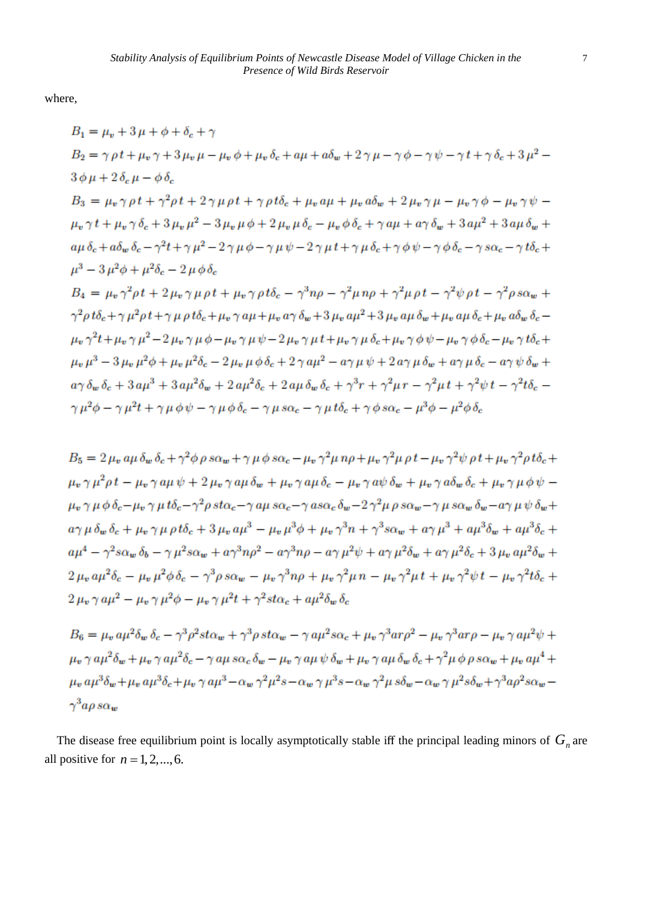where,

$$
B_{1} = \mu_{v} + 3\mu + \phi + \delta_{c} + \gamma
$$
\n
$$
B_{2} = \gamma \rho t + \mu_{v} \gamma + 3\mu_{v} \mu - \mu_{v} \phi + \mu_{v} \delta_{c} + a\mu + a\delta_{w} + 2\gamma\mu - \gamma\phi - \gamma\psi - \gamma t + \gamma\delta_{c} + 3\mu^{2} - 3\phi\mu + 2\delta_{c}\mu - \phi\delta_{c}
$$
\n
$$
B_{3} = \mu_{v} \gamma \rho t + \gamma^{2} \rho t + 2\gamma\mu\rho t + \gamma\rho t\delta_{c} + \mu_{v} a\mu + \mu_{v} a\delta_{w} + 2\mu_{v} \gamma\mu - \mu_{v} \gamma\phi - \mu_{v} \gamma\psi - \mu_{v} \gamma t + \mu_{v} \gamma\delta_{c} + 3\mu_{v} \mu^{2} - 3\mu_{v} \mu\phi + 2\mu_{v} \mu\delta_{c} - \mu_{v} \phi\delta_{c} + \gamma a\mu + a\gamma\delta_{w} + 3a\mu^{2} + 3a\mu\delta_{w} + a\mu\delta_{c} + a\delta_{w}\delta_{c} - \gamma^{2}t + \gamma\mu^{2} - 2\gamma\mu\phi - \gamma\mu\psi - 2\gamma\mu t + \gamma\mu\delta_{c} + \gamma\phi\psi - \gamma\phi\delta_{c} - \gamma s\alpha_{c} - \gamma t\delta_{c} + \mu^{3} - 3\mu^{2}\phi + \mu^{2}\delta_{c} - 2\mu\phi\delta_{c}
$$
\n
$$
B_{4} = \mu_{v} \gamma^{2}\rho t + 2\mu_{v} \gamma\mu\rho t + \mu_{v} \gamma\rho t\delta_{c} - \gamma^{3}n\rho - \gamma^{2}\mu n\rho + \gamma^{2}\mu\rho t - \gamma^{2}\psi\rho t - \gamma^{2}\rho s\alpha_{w} + \gamma^{2}\rho t\delta_{c} + \gamma\mu^{2}\rho t + \gamma\mu\rho t\delta_{c} + \mu_{v} \gamma\rho a\mu + \mu_{v} \alpha\gamma\delta_{w} + 3\mu_{v} a\mu\delta_{w} + \mu_{v} a\mu\delta_{c} + \mu_{v} a\mu\delta_{c} + \mu_{v} a\mu\delta_{c} + \mu_{v} a\mu\delta_{c}
$$

 $B_5 = 2 \mu_n a \mu \delta_m \delta_c + \gamma^2 \phi \rho s \alpha_m + \gamma \mu \phi s \alpha_c - \mu_n \gamma^2 \mu n \rho + \mu_n \gamma^2 \mu \rho t - \mu_n \gamma^2 \psi \rho t + \mu_n \gamma^2 \rho t \delta_c +$  $\mu_n \gamma \mu^2 \rho t - \mu_n \gamma a \mu \psi + 2 \mu_n \gamma a \mu \delta_m + \mu_n \gamma a \mu \delta_c - \mu_n \gamma a \psi \delta_m + \mu_n \gamma a \delta_m \delta_c + \mu_n \gamma \mu \phi \psi \mu_v \gamma \mu \phi \delta_c - \mu_v \gamma \mu t \delta_c - \gamma^2 \rho s t \alpha_c - \gamma a \mu s \alpha_c - \gamma a s \alpha_c \delta_w - 2 \gamma^2 \mu \rho s \alpha_w - \gamma \mu s \alpha_w \delta_w - a \gamma \mu \psi \delta_w +$  $a\gamma \mu \delta_m \delta_c + \mu_n \gamma \mu \rho t \delta_c + 3 \mu_n a \mu^3 - \mu_n \mu^3 \phi + \mu_n \gamma^3 n + \gamma^3 s \alpha_m + a \gamma \mu^3 + a \mu^3 \delta_m + a \mu^3 \delta_c +$  $a\mu^{4} - \gamma^{2}s\alpha_{w}\delta_{b} - \gamma\mu^{2}s\alpha_{w} + a\gamma^{3}n\rho^{2} - a\gamma^{3}n\rho - a\gamma\mu^{2}\psi + a\gamma\mu^{2}\delta_{w} + a\gamma\mu^{2}\delta_{c} + 3\mu_{v}a\mu^{2}\delta_{w} +$  $2\mu_v a\mu^2\delta_c - \mu_v \mu^2 \phi \delta_c - \gamma^3 \rho s\alpha_w - \mu_v \gamma^3 n\rho + \mu_v \gamma^2 \mu n - \mu_v \gamma^2 \mu t + \mu_v \gamma^2 \psi t - \mu_v \gamma^2 t \delta_c +$  $2 \mu_v \gamma a \mu^2 - \mu_v \gamma \mu^2 \phi - \mu_v \gamma \mu^2 t + \gamma^2 st \alpha_c + a \mu^2 \delta_w \delta_c$ 

 $B_6 = \mu_v a \mu^2 \delta_w \delta_c - \gamma^3 \rho^2 st \alpha_w + \gamma^3 \rho st \alpha_w - \gamma a \mu^2 s \alpha_c + \mu_v \gamma^3 a r \rho^2 - \mu_v \gamma^3 a r \rho - \mu_v \gamma a \mu^2 \psi +$  $\mu_v \gamma a \mu^2 \delta_w + \mu_v \gamma a \mu^2 \delta_c - \gamma a \mu s \alpha_c \delta_w - \mu_v \gamma a \mu \psi \delta_w + \mu_v \gamma a \mu \delta_w \delta_c + \gamma^2 \mu \phi \rho s \alpha_w + \mu_v a \mu^4 +$  $\mu_u a \mu^3 \delta_w + \mu_v a \mu^3 \delta_c + \mu_v \gamma a \mu^3 - \alpha_w \gamma^2 \mu^2 s - \alpha_w \gamma \mu^3 s - \alpha_w \gamma^2 \mu s \delta_w - \alpha_w \gamma \mu^2 s \delta_w + \gamma^3 a \rho^2 s \alpha_w \gamma^3 a \rho s \alpha_w$ 

The disease free equilibrium point is locally asymptotically stable iff the principal leading minors of  $G_n$  are all positive for  $n = 1, 2, \dots, 6$ .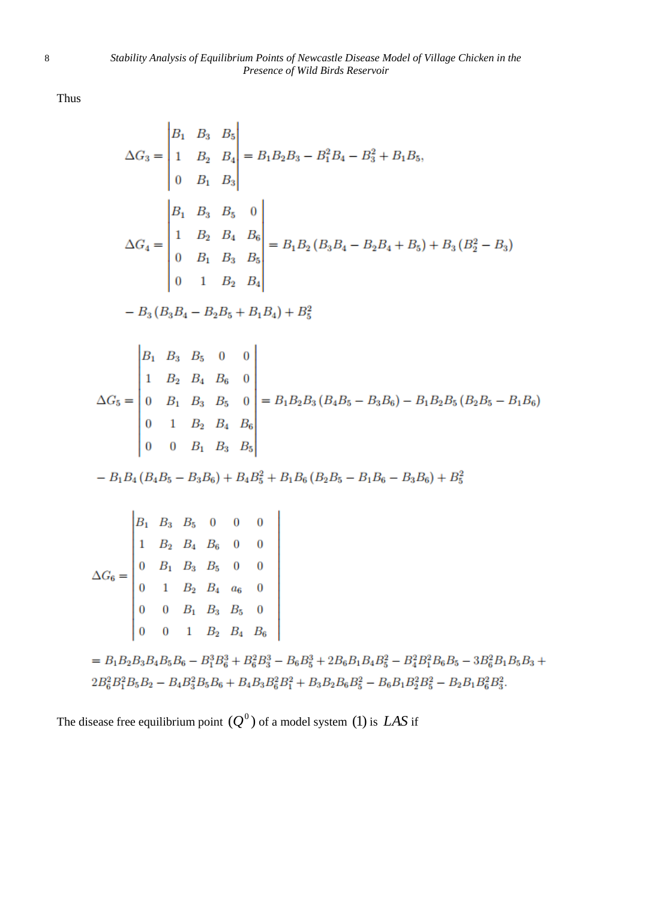Thus

$$
\Delta G_3 = \begin{vmatrix} B_1 & B_3 & B_5 \\ 1 & B_2 & B_4 \\ 0 & B_1 & B_3 \end{vmatrix} = B_1 B_2 B_3 - B_1^2 B_4 - B_3^2 + B_1 B_5,
$$
  
\n
$$
\Delta G_4 = \begin{vmatrix} B_1 & B_3 & B_5 & 0 \\ 1 & B_2 & B_4 & B_6 \\ 0 & B_1 & B_3 & B_5 \\ 0 & 1 & B_2 & B_4 \end{vmatrix} = B_1 B_2 (B_3 B_4 - B_2 B_4 + B_5) + B_3 (B_2^2 - B_3)
$$
  
\n
$$
- B_3 (B_3 B_4 - B_2 B_5 + B_1 B_4) + B_5^2
$$
  
\n
$$
\Delta G_5 = \begin{vmatrix} B_1 & B_3 & B_5 & 0 & 0 \\ 0 & B_1 & B_3 & B_5 & 0 \\ 0 & 1 & B_2 & B_4 & B_6 \\ 0 & 0 & B_1 & B_3 & B_5 \end{vmatrix} = B_1 B_2 B_3 (B_4 B_5 - B_3 B_6) - B_1 B_2 B_5 (B_2 B_5 - B_1 B_6)
$$
  
\n
$$
- B_1 B_4 (B_4 B_5 - B_3 B_6) + B_4 B_5^2 + B_1 B_6 (B_2 B_5 - B_1 B_6 - B_3 B_6) + B_5^2
$$
  
\n
$$
- B_1 B_4 (B_4 B_5 - B_3 B_6) + B_4 B_5^2 + B_1 B_6 (B_2 B_5 - B_1 B_6 - B_3 B_6) + B_5^2
$$
  
\n
$$
\Delta G_6 = \begin{vmatrix} B_1 & B_3 & B_5 & 0 & 0 \\ 0 & B_1 & B_3 & B_5 & 0 \\ 0 & 0 & B_1 & B_3 & B_5 & 0 \\ 0 & 0 & 1 & B_2 & B_4 & B_6 \\ 0 & 0 & 1 & B_2 & B_4 & B_6 \end{vmatrix}
$$
  
\n
$$
= B_1 B_2 B_3 B_4 B_5 B_6 - B_1^3 B_6^3 + B_6^2 B_3^3 - B_6 B_3^3 + 2B_6 B_1 B_4 B
$$

$$
2B_6^2B_1^2B_5B_2 - B_4B_3^2B_5B_6 + B_4B_3B_6^2B_1^2 + B_3B_2B_6B_5^2 - B_6B_1B_2^2B_5^2 - B_2B_1B_6^2B_3^2.
$$

The disease free equilibrium point  $(Q^0)$  of a model system (1) is *LAS* if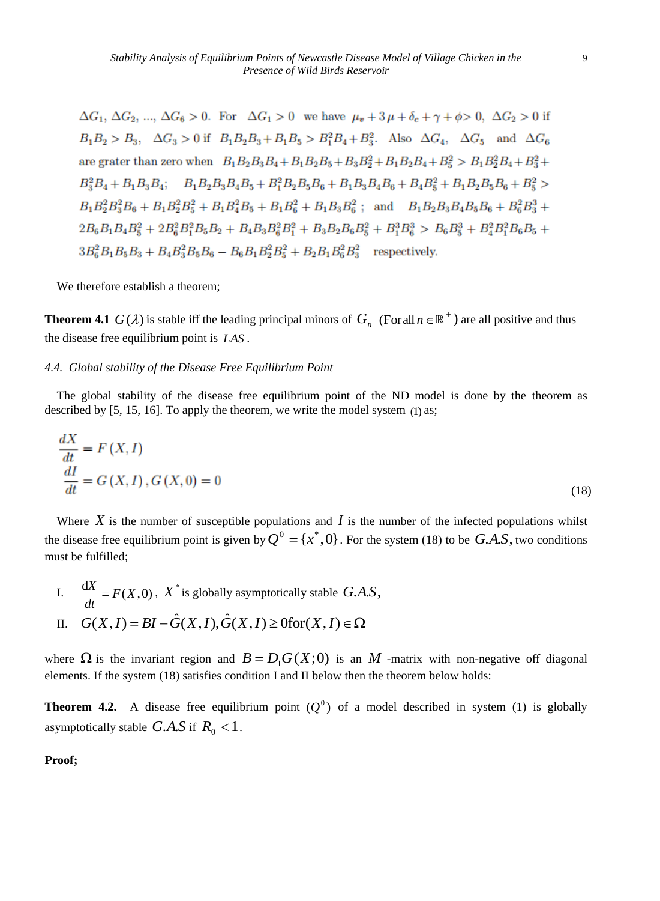$\Delta G_1$ ,  $\Delta G_2$ , ...,  $\Delta G_6 > 0$ . For  $\Delta G_1 > 0$  we have  $\mu_r + 3 \mu + \delta_c + \gamma + \phi > 0$ ,  $\Delta G_2 > 0$  if  $B_1B_2 > B_3$ ,  $\Delta G_3 > 0$  if  $B_1B_2B_3 + B_1B_5 > B_1^2B_4 + B_2^2$ . Also  $\Delta G_4$ ,  $\Delta G_5$  and  $\Delta G_6$ are grater than zero when  $B_1B_2B_3B_4 + B_1B_2B_5 + B_3B_2^2 + B_1B_2B_4 + B_5^2 > B_1B_2^2B_4 + B_3^2 +$  $B_3^2B_4 + B_1B_3B_4$ ;  $B_1B_2B_3B_4B_5 + B_1^2B_2B_5B_6 + B_1B_3B_4B_6 + B_4B_5^2 + B_1B_2B_5B_6 + B_5^2$  $B_1B_2^2B_3^2B_6 + B_1B_2^2B_5^2 + B_1B_4^2B_5 + B_1B_6^2 + B_1B_3B_6^2$ ; and  $B_1B_2B_3B_4B_5B_6 + B_6^2B_3^3 +$  $2B_6B_1B_4B_5^2 + 2B_6^2B_1^2B_5B_2 + B_4B_3B_6^2B_1^2 + B_3B_2B_6B_5^2 + B_1^3B_6^3 > B_6B_5^3 + B_4^2B_1^2B_6B_5 +$  $3B_6^2B_1B_5B_3 + B_4B_2^2B_5B_6 - B_6B_1B_3^2B_5^2 + B_2B_1B_6^2B_2^2$  respectively.

We therefore establish a theorem;

**Theorem 4.1**  $G(\lambda)$  is stable iff the leading principal minors of  $G_n$  (Forall  $n \in \mathbb{R}^+$ ) are all positive and thus the disease free equilibrium point is *LAS* .

#### *4.4. Global stability of the Disease Free Equilibrium Point*

The global stability of the disease free equilibrium point of the ND model is done by the theorem as described by [5, 15, 16]. To apply the theorem, we write the model system (1) as;

$$
\frac{dX}{dt} = F(X, I)
$$
  

$$
\frac{dI}{dt} = G(X, I), G(X, 0) = 0
$$
 (18)

Where  $X$  is the number of susceptible populations and  $I$  is the number of the infected populations whilst the disease free equilibrium point is given by  $Q^0 = \{x^*, 0\}$ . For the system (18) to be  $G.A.S$ , two conditions must be fulfilled;

I.  $\frac{dX}{dt} = F(X,0)$ *dt*  $\frac{dX}{dt} = F(X,0)$ ,  $X^*$  is globally asymptotically stable  $G.A.S$ ,<br>  $G(X,I) = BI - \hat{G}(X,I), \hat{G}(X,I) \ge 0$  for  $(X,I) \in \Omega$ II.  $G(X, I) = BI - \hat{G}(X, I), \hat{G}$ 

where  $\Omega$  is the invariant region and  $B = D_1 G(X; 0)$  is an M -matrix with non-negative off diagonal elements. If the system (18) satisfies condition I and II below then the theorem below holds:

**Theorem 4.2.** A disease free equilibrium point  $(Q^0)$  of a model described in system (1) is globally asymptotically stable  $G.A.S$  if  $R_0 < 1$ .

**Proof;**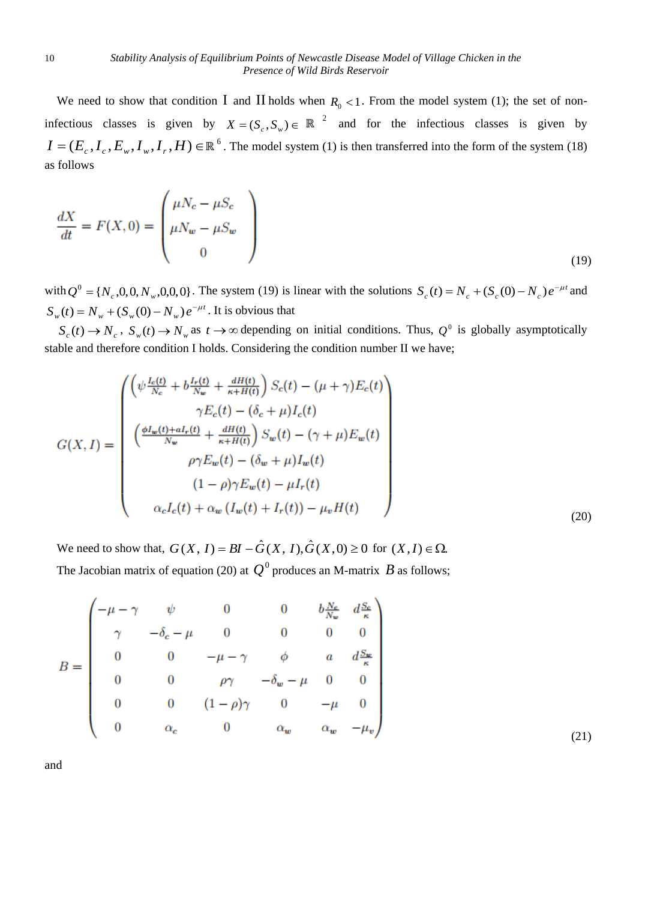We need to show that condition I and II holds when  $R_0 < 1$ . From the model system (1); the set of noninfectious classes is given by  $X = (S_c, S_w) \in \mathbb{R}^2$  and for the infectious classes is given by  $I = (E_c, I_c, E_w, I_w, I_r, H) \in \mathbb{R}^6$ . The model system (1) is then transferred into the form of the system (18) as follows

$$
\frac{dX}{dt} = F(X,0) = \begin{pmatrix} \mu N_c - \mu S_c \\ \mu N_w - \mu S_w \\ 0 \end{pmatrix}
$$
\n(19)

with  $Q^0 = \{N_c, 0, 0, N_w, 0, 0, 0\}$ . The system (19) is linear with the solutions  $S_c(t) = N_c + (S_c(0) - N_c)e^{-\mu t}$  and  $S_w(t) = N_w + (S_w(0) - N_w)e^{-\mu t}$ . It is obvious that

 $S_c(t) \to N_c$ ,  $S_w(t) \to N_w$  as  $t \to \infty$  depending on initial conditions. Thus,  $Q^0$  is globally asymptotically stable and therefore condition I holds. Considering the condition number II we have;

$$
G(X, I) = \begin{pmatrix} \left(\psi \frac{I_c(t)}{N_c} + b \frac{I_r(t)}{N_w} + \frac{dH(t)}{\kappa + H(t)}\right) S_c(t) - (\mu + \gamma) E_c(t) \\ \gamma E_c(t) - (\delta_c + \mu) I_c(t) \\ \left(\frac{\phi I_w(t) + aI_r(t)}{N_w} + \frac{dH(t)}{\kappa + H(t)}\right) S_w(t) - (\gamma + \mu) E_w(t) \\ \rho \gamma E_w(t) - (\delta_w + \mu) I_w(t) \\ (1 - \rho) \gamma E_w(t) - \mu I_r(t) \\ \alpha_c I_c(t) + \alpha_w (I_w(t) + I_r(t)) - \mu_v H(t) \end{pmatrix}
$$
(20)

We need to show that,  $G(X, I) = BI - \hat{G}(X, I), \hat{G}(X, 0) \ge 0$  for  $(X, I) \in \Omega$ . The Jacobian matrix of equation (20) at  $Q^0$  produces an M-matrix B as follows;

$$
B = \begin{pmatrix} -\mu - \gamma & \psi & 0 & 0 & b\frac{N_c}{N_w} & d\frac{S_c}{\kappa} \\ \gamma & -\delta_c - \mu & 0 & 0 & 0 & 0 \\ 0 & 0 & -\mu - \gamma & \phi & a & d\frac{S_w}{\kappa} \\ 0 & 0 & \rho\gamma & -\delta_w - \mu & 0 & 0 \\ 0 & 0 & (1 - \rho)\gamma & 0 & -\mu & 0 \\ 0 & \alpha_c & 0 & \alpha_w & \alpha_w & -\mu_v \end{pmatrix}
$$
(21)

and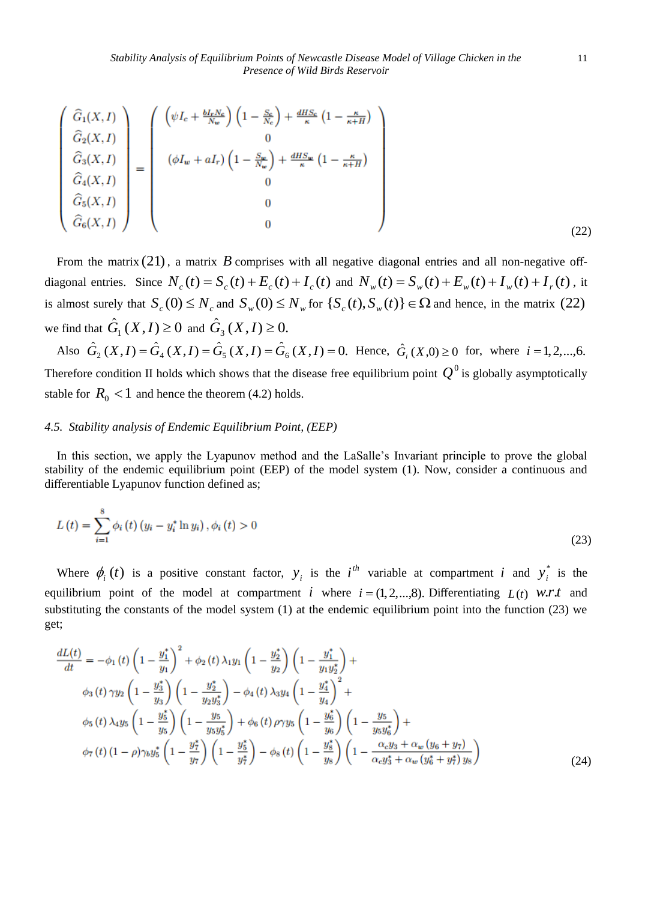$$
\begin{pmatrix}\n\hat{G}_1(X,I) \\
\hat{G}_2(X,I) \\
\hat{G}_3(X,I) \\
\hat{G}_4(X,I) \\
\hat{G}_5(X,I) \\
\hat{G}_6(X,I)\n\end{pmatrix} = \begin{pmatrix}\n\left(\psi I_c + \frac{bI_r N_c}{N_w}\right) \left(1 - \frac{S_c}{N_c}\right) + \frac{dHS_c}{\kappa} \left(1 - \frac{\kappa}{\kappa + H}\right) \\
0 \\
\left(\phi I_w + aI_r\right) \left(1 - \frac{S_w}{N_w}\right) + \frac{dHS_w}{\kappa} \left(1 - \frac{\kappa}{\kappa + H}\right) \\
0 \\
0 \\
0\n\end{pmatrix}
$$
\n(22)

From the matrix  $(21)$ , a matrix  $B$  comprises with all negative diagonal entries and all non-negative offdiagonal entries. Since  $N_c(t) = S_c(t) + E_c(t) + I_c(t)$  and  $N_w(t) = S_w(t) + E_w(t) + I_w(t) + I_r(t)$ , it is almost surely that  $S_c(0) \leq N_c$  and  $S_w(0) \leq N_w$  for  $\{S_c(t), S_w(t)\}\in \Omega$  and hence, in the matrix (22) we find that  $\hat{G}_1(X,I) \ge 0$  and  $\hat{G}_3(X,I) \ge 0$ .

Also  $\hat{G}_2(X,I) = \hat{G}_4(X,I) = \hat{G}_5(X,I) = \hat{G}_6(X,I) = 0$ . Hence,  $\hat{G}_i(X,0) \ge 0$  for, where  $i = 1,2,...,6$ . Therefore condition II holds which shows that the disease free equilibrium point  $Q^0$  is globally asymptotically stable for  $R_0 < 1$  and hence the theorem (4.2) holds.

#### *4.5. Stability analysis of Endemic Equilibrium Point, (EEP)*

In this section, we apply the Lyapunov method and the LaSalle's Invariant principle to prove the global stability of the endemic equilibrium point (EEP) of the model system (1). Now, consider a continuous and differentiable Lyapunov function defined as;

$$
L(t) = \sum_{i=1}^{8} \phi_i(t) (y_i - y_i^* \ln y_i), \phi_i(t) > 0
$$
\n(23)

Where  $\phi_i(t)$  is a positive constant factor,  $y_i$  is the  $i^{th}$  variable at compartment i and  $y_i^*$  $y_i^*$  is the equilibrium point of the model at compartment *i* where  $i = (1, 2, \ldots, 8)$ . Differentiating  $L(t)$  *w.r.t* and substituting the constants of the model system (1) at the endemic equilibrium point into the function (23) we get;

$$
\frac{dL(t)}{dt} = -\phi_1(t)\left(1 - \frac{y_1^*}{y_1}\right)^2 + \phi_2(t)\lambda_1 y_1 \left(1 - \frac{y_2^*}{y_2}\right) \left(1 - \frac{y_1^*}{y_1 y_2^*}\right) +
$$
\n
$$
\phi_3(t)\gamma y_2 \left(1 - \frac{y_3^*}{y_3}\right) \left(1 - \frac{y_2^*}{y_2 y_3^*}\right) - \phi_4(t)\lambda_3 y_4 \left(1 - \frac{y_4^*}{y_4}\right)^2 +
$$
\n
$$
\phi_5(t)\lambda_4 y_5 \left(1 - \frac{y_5^*}{y_5}\right) \left(1 - \frac{y_5}{y_5 y_5^*}\right) + \phi_6(t)\rho \gamma y_5 \left(1 - \frac{y_6^*}{y_6}\right) \left(1 - \frac{y_5}{y_5 y_6^*}\right) +
$$
\n
$$
\phi_7(t)\left(1 - \rho\right) \gamma_b y_5^* \left(1 - \frac{y_7^*}{y_7}\right) \left(1 - \frac{y_5^*}{y_7^*}\right) - \phi_8(t)\left(1 - \frac{y_8^*}{y_8}\right) \left(1 - \frac{\alpha_c y_3 + \alpha_w (y_6 + y_7)}{\alpha_c y_3^* + \alpha_w (y_6^* + y_7^*) y_8}\right) \tag{24}
$$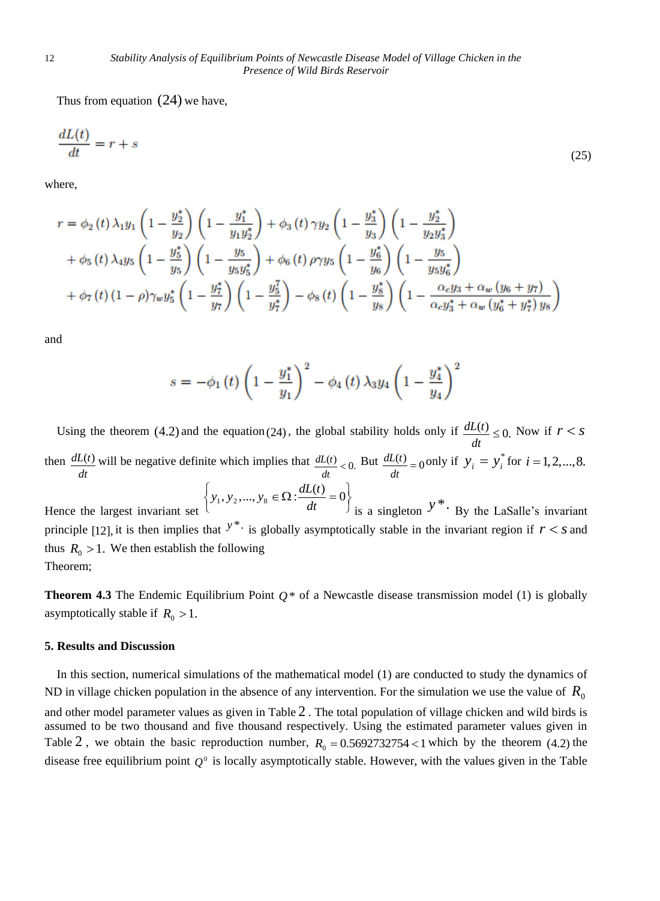Thus from equation (24) we have,

$$
\frac{dL(t)}{dt} = r + s \tag{25}
$$

where,

$$
r = \phi_2(t)\lambda_1 y_1 \left(1 - \frac{y_2^*}{y_2}\right) \left(1 - \frac{y_1^*}{y_1 y_2^*}\right) + \phi_3(t)\gamma y_2 \left(1 - \frac{y_3^*}{y_3}\right) \left(1 - \frac{y_2^*}{y_2 y_3^*}\right) + \phi_5(t)\lambda_4 y_5 \left(1 - \frac{y_5^*}{y_5}\right) \left(1 - \frac{y_5}{y_5 y_5^*}\right) + \phi_6(t)\rho \gamma y_5 \left(1 - \frac{y_6^*}{y_6}\right) \left(1 - \frac{y_5}{y_5 y_6^*}\right) + \phi_7(t)\left(1 - \rho\right) \gamma_w y_5^* \left(1 - \frac{y_7^*}{y_7}\right) \left(1 - \frac{y_5^*}{y_7^*}\right) - \phi_8(t)\left(1 - \frac{y_8^*}{y_8}\right) \left(1 - \frac{\alpha_c y_3 + \alpha_w (y_6 + y_7)}{\alpha_c y_3^* + \alpha_w (y_6^* + y_7^*) y_8}\right)
$$

and

$$
s = -\phi_1(t) \left( 1 - \frac{y_1^*}{y_1} \right)^2 - \phi_4(t) \, \lambda_3 y_4 \left( 1 - \frac{y_4^*}{y_4} \right)^2
$$

Using the theorem (4.2) and the equation (24), the global stability holds only if  $\frac{dL(t)}{dt} \le 0$ .  $\frac{dL(t)}{dt} \leq 0$ . Now if  $r < s$ then *dt*  $\frac{dL(t)}{dt}$  will be negative definite which implies that  $\frac{dL(t)}{dt} < 0$ .  $\frac{dL(t)}{dt} < 0$ . But  $\frac{dL(t)}{dt} = 0$  $\frac{dL(t)}{dt} = 0$  only if  $y_i = y_i^*$  $y_i = y_i^*$  for  $i = 1, 2, ..., 8$ . Hence the largest invariant set  $\{y_1, y_2, ..., y_8 \in \Omega : \frac{dL(t)}{dt} = 0\}$  $\left\{ y_1, y_2, ..., y_8 \in \Omega : \frac{dL(t)}{dt} = 0 \right\}$  $y_1, y_2, ..., y_8 \in \Omega: \frac{dL(t)}{dt}$ is a singleton  $y^*$ . By the LaSalle's invariant principle [12], it is then implies that  $y^*$  is globally asymptotically stable in the invariant region if  $r < s$  and thus  $R_0 > 1$ . We then establish the following Theorem;

**Theorem 4.3** The Endemic Equilibrium Point *Q* \* of a Newcastle disease transmission model (1) is globally asymptotically stable if  $R_0 > 1$ .

#### **5. Results and Discussion**

In this section, numerical simulations of the mathematical model (1) are conducted to study the dynamics of ND in village chicken population in the absence of any intervention. For the simulation we use the value of  $R_0$ and other model parameter values as given in Table 2. The total population of village chicken and wild birds is assumed to be two thousand and five thousand respectively. Using the estimated parameter values given in Table 2, we obtain the basic reproduction number,  $R_0 = 0.5692732754 < 1$  which by the theorem (4.2) the disease free equilibrium point  $Q^0$  is locally asymptotically stable. However, with the values given in the Table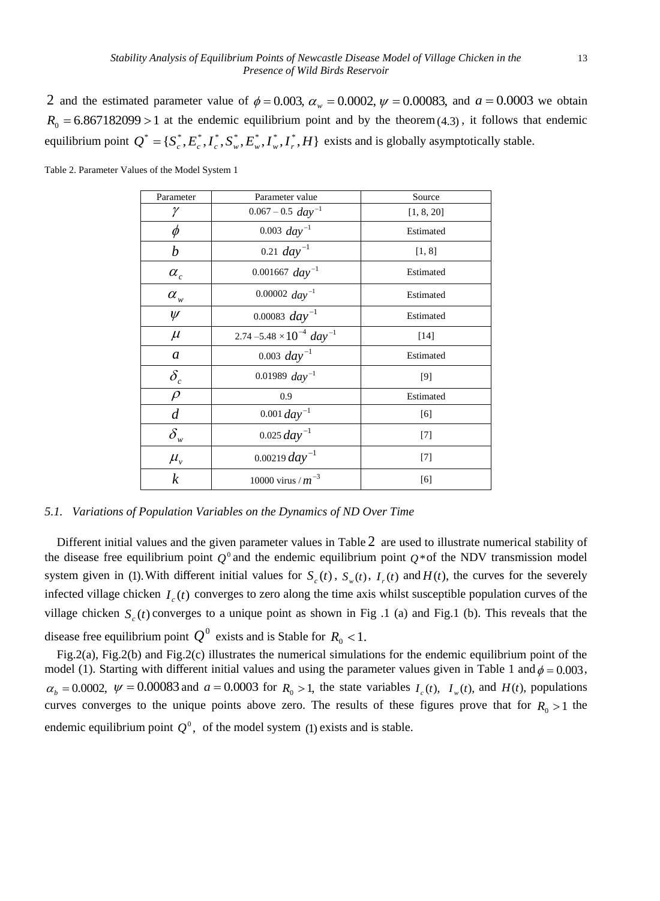2 and the estimated parameter value of  $\phi = 0.003$ ,  $\alpha_w = 0.0002$ ,  $\psi = 0.00083$ , and  $a = 0.0003$  we obtain  $R_0 = 6.867182099 > 1$  at the endemic equilibrium point and by the theorem (4.3), it follows that endemic equilibrium point  $Q^* = \{S_c^*, E_c^*, I_c^*, S_w^*, E_w^*, I_w^*, I_r^*, H\}$  exists and is globally asymptotically stable.

| Parameter                        | Parameter value                               | Source     |
|----------------------------------|-----------------------------------------------|------------|
| γ                                | $0.067 - 0.5$ $day^{-1}$                      | [1, 8, 20] |
| φ                                | $0.003 \, day^{-1}$                           | Estimated  |
| b                                | 0.21 $day^{-1}$                               | [1, 8]     |
| $\alpha_c$                       | $0.001667$ day <sup>-1</sup>                  | Estimated  |
| $\alpha_{w}$                     | 0.00002 $day^{-1}$                            | Estimated  |
| $\psi$                           | 0.00083 $day^{-1}$                            | Estimated  |
| $\mu$                            | 2.74 –5.48 $\times 10^{-4}$ day <sup>-1</sup> | $[14]$     |
| $\boldsymbol{a}$                 | 0.003 $day^{-1}$                              | Estimated  |
| $\delta_c$                       | 0.01989 $day^{-1}$                            | [9]        |
| $\rho$                           | 0.9                                           | Estimated  |
| $\overline{d}$                   | $0.001 \, day^{-1}$                           | [6]        |
| $\delta_{\scriptscriptstyle{w}}$ | $0.025 \, day^{-1}$                           | $[7]$      |
| $\mu_{v}$                        | 0.00219 $day^{-1}$                            | $[7]$      |
| $\boldsymbol{k}$                 | 10000 virus / $m^{-3}$                        | [6]        |

Table 2. Parameter Values of the Model System 1

*5.1. Variations of Population Variables on the Dynamics of ND Over Time*

Different initial values and the given parameter values in Table 2 are used to illustrate numerical stability of the disease free equilibrium point  $Q^0$  and the endemic equilibrium point  $Q^*$  of the NDV transmission model system given in (1). With different initial values for  $S_c(t)$ ,  $S_w(t)$ ,  $I_r(t)$  and  $H(t)$ , the curves for the severely infected village chicken  $I_c(t)$  converges to zero along the time axis whilst susceptible population curves of the village chicken  $S_c(t)$  converges to a unique point as shown in Fig .1 (a) and Fig.1 (b). This reveals that the disease free equilibrium point  $Q^0$  exists and is Stable for  $R_0 < 1$ .

Fig.2(a), Fig.2(b) and Fig.2(c) illustrates the numerical simulations for the endemic equilibrium point of the model (1). Starting with different initial values and using the parameter values given in Table 1 and  $\phi = 0.003$ ,  $\alpha_b = 0.0002$ ,  $\psi = 0.00083$  and  $a = 0.0003$  for  $R_0 > 1$ , the state variables  $I_c(t)$ ,  $I_w(t)$ , and  $H(t)$ , populations curves converges to the unique points above zero. The results of these figures prove that for  $R_0 > 1$  the endemic equilibrium point  $Q^0$ , of the model system (1) exists and is stable.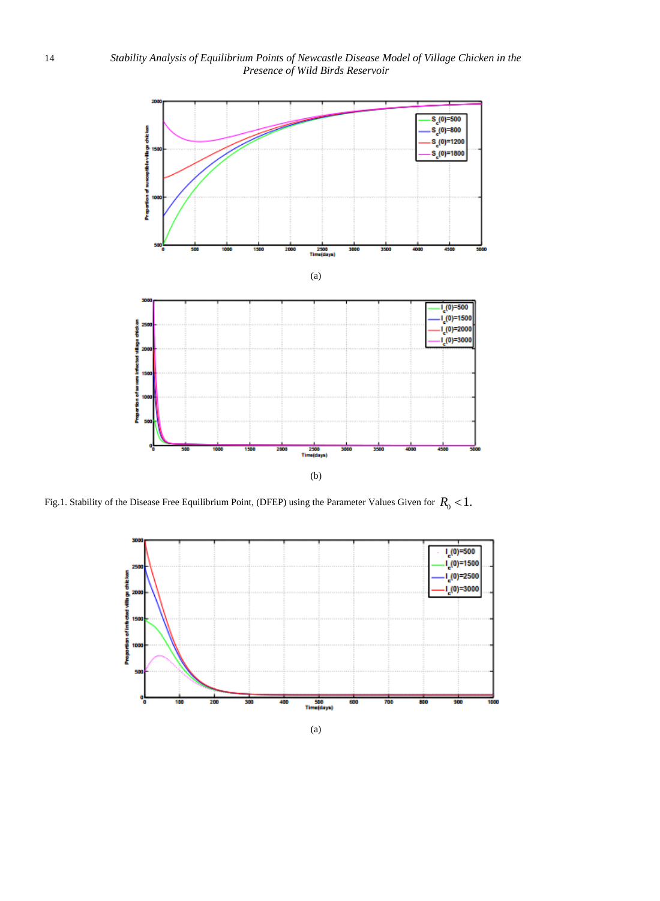

Fig.1. Stability of the Disease Free Equilibrium Point, (DFEP) using the Parameter Values Given for  $R_0 < 1$ .

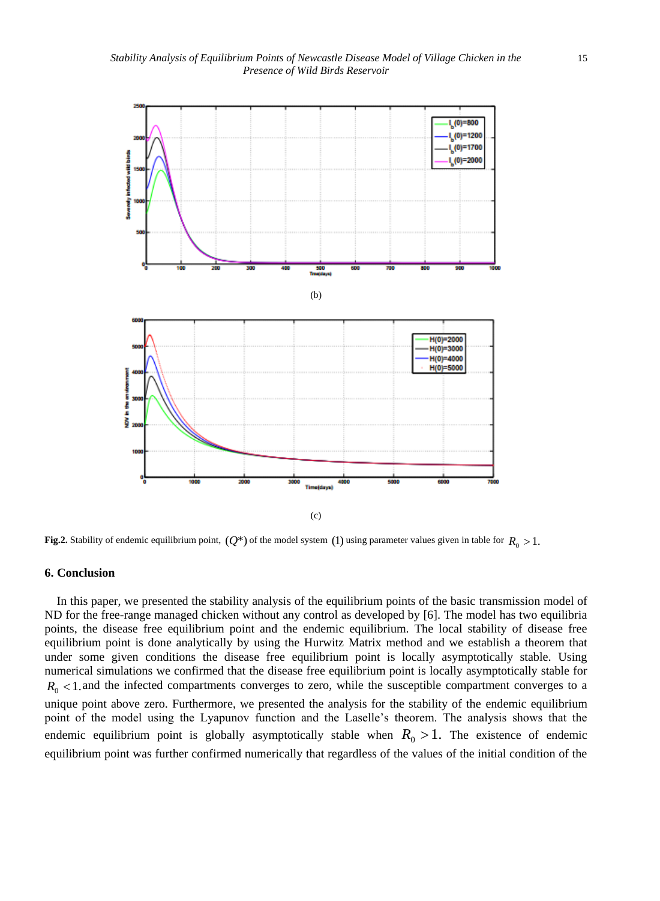

**Fig.2.** Stability of endemic equilibrium point,  $(Q^*)$  of the model system (1) using parameter values given in table for  $R_0 > 1$ .

#### **6. Conclusion**

In this paper, we presented the stability analysis of the equilibrium points of the basic transmission model of ND for the free-range managed chicken without any control as developed by [6]. The model has two equilibria points, the disease free equilibrium point and the endemic equilibrium. The local stability of disease free equilibrium point is done analytically by using the Hurwitz Matrix method and we establish a theorem that under some given conditions the disease free equilibrium point is locally asymptotically stable. Using numerical simulations we confirmed that the disease free equilibrium point is locally asymptotically stable for  $R_0$  < 1. and the infected compartments converges to zero, while the susceptible compartment converges to a unique point above zero. Furthermore, we presented the analysis for the stability of the endemic equilibrium point of the model using the Lyapunov function and the Laselle's theorem. The analysis shows that the endemic equilibrium point is globally asymptotically stable when  $R_0 > 1$ . The existence of endemic equilibrium point was further confirmed numerically that regardless of the values of the initial condition of the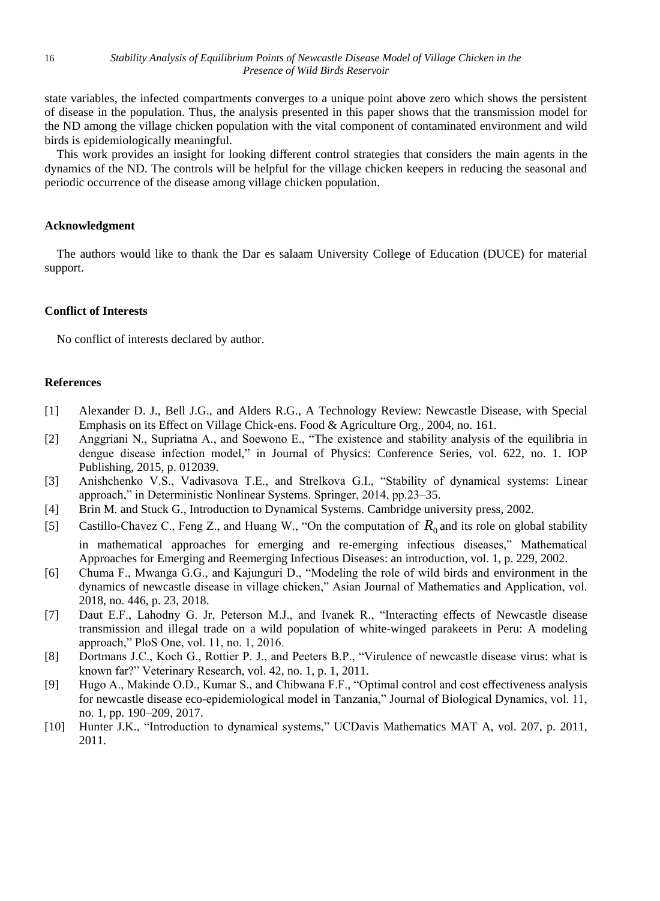state variables, the infected compartments converges to a unique point above zero which shows the persistent of disease in the population. Thus, the analysis presented in this paper shows that the transmission model for the ND among the village chicken population with the vital component of contaminated environment and wild birds is epidemiologically meaningful.

This work provides an insight for looking different control strategies that considers the main agents in the dynamics of the ND. The controls will be helpful for the village chicken keepers in reducing the seasonal and periodic occurrence of the disease among village chicken population.

# **Acknowledgment**

The authors would like to thank the Dar es salaam University College of Education (DUCE) for material support.

# **Conflict of Interests**

No conflict of interests declared by author.

#### **References**

- [1] Alexander D. J., Bell J.G., and Alders R.G., A Technology Review: Newcastle Disease, with Special Emphasis on its Effect on Village Chick-ens. Food & Agriculture Org., 2004, no. 161.
- [2] Anggriani N., Supriatna A., and Soewono E., "The existence and stability analysis of the equilibria in dengue disease infection model," in Journal of Physics: Conference Series, vol. 622, no. 1. IOP Publishing, 2015, p. 012039.
- [3] Anishchenko V.S., Vadivasova T.E., and Strelkova G.I., "Stability of dynamical systems: Linear approach," in Deterministic Nonlinear Systems. Springer, 2014, pp.23–35.
- [4] Brin M. and Stuck G., Introduction to Dynamical Systems. Cambridge university press, 2002.

[5] Castillo-Chavez C., Feng Z., and Huang W., "On the computation of  $R_0$  and its role on global stability in mathematical approaches for emerging and re-emerging infectious diseases," Mathematical Approaches for Emerging and Reemerging Infectious Diseases: an introduction, vol. 1, p. 229, 2002.

- [6] Chuma F., Mwanga G.G., and Kajunguri D., "Modeling the role of wild birds and environment in the dynamics of newcastle disease in village chicken," Asian Journal of Mathematics and Application, vol. 2018, no. 446, p. 23, 2018.
- [7] Daut E.F., Lahodny G. Jr, Peterson M.J., and Ivanek R., "Interacting effects of Newcastle disease transmission and illegal trade on a wild population of white-winged parakeets in Peru: A modeling approach," PloS One, vol. 11, no. 1, 2016.
- [8] Dortmans J.C., Koch G., Rottier P. J., and Peeters B.P., "Virulence of newcastle disease virus: what is known far?" Veterinary Research, vol. 42, no. 1, p. 1, 2011.
- [9] Hugo A., Makinde O.D., Kumar S., and Chibwana F.F., "Optimal control and cost effectiveness analysis for newcastle disease eco-epidemiological model in Tanzania," Journal of Biological Dynamics, vol. 11, no. 1, pp. 190–209, 2017.
- [10] Hunter J.K., "Introduction to dynamical systems," UCDavis Mathematics MAT A, vol. 207, p. 2011, 2011.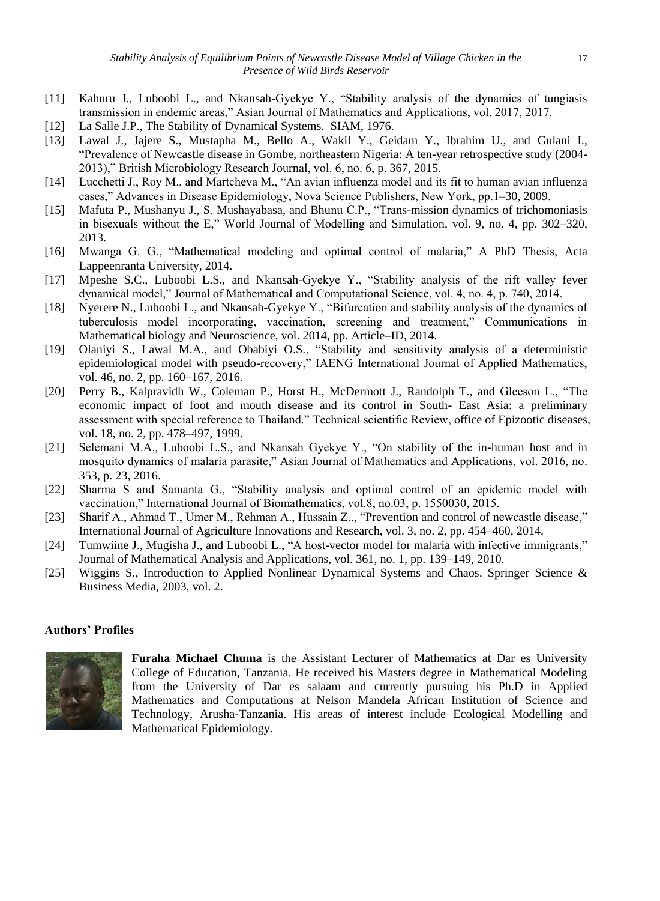- [11] Kahuru J., Luboobi L., and Nkansah-Gyekye Y., "Stability analysis of the dynamics of tungiasis transmission in endemic areas," Asian Journal of Mathematics and Applications, vol. 2017, 2017.
- [12] La Salle J.P., The Stability of Dynamical Systems. SIAM, 1976.
- [13] Lawal J., Jajere S., Mustapha M., Bello A., Wakil Y., Geidam Y., Ibrahim U., and Gulani I., "Prevalence of Newcastle disease in Gombe, northeastern Nigeria: A ten-year retrospective study (2004- 2013)," British Microbiology Research Journal, vol. 6, no. 6, p. 367, 2015.
- [14] Lucchetti J., Roy M., and Martcheva M., "An avian influenza model and its fit to human avian influenza cases," Advances in Disease Epidemiology, Nova Science Publishers, New York, pp.1–30, 2009.
- [15] Mafuta P., Mushanyu J., S. Mushayabasa, and Bhunu C.P., "Trans-mission dynamics of trichomoniasis in bisexuals without the E," World Journal of Modelling and Simulation, vol. 9, no. 4, pp. 302–320, 2013.
- [16] Mwanga G. G., "Mathematical modeling and optimal control of malaria," A PhD Thesis, Acta Lappeenranta University, 2014.
- [17] Mpeshe S.C., Luboobi L.S., and Nkansah-Gyekye Y., "Stability analysis of the rift valley fever dynamical model," Journal of Mathematical and Computational Science, vol. 4, no. 4, p. 740, 2014.
- [18] Nyerere N., Luboobi L., and Nkansah-Gyekye Y., "Bifurcation and stability analysis of the dynamics of tuberculosis model incorporating, vaccination, screening and treatment," Communications in Mathematical biology and Neuroscience, vol. 2014, pp. Article–ID, 2014.
- [19] Olaniyi S., Lawal M.A., and Obabiyi O.S., "Stability and sensitivity analysis of a deterministic epidemiological model with pseudo-recovery," IAENG International Journal of Applied Mathematics, vol. 46, no. 2, pp. 160–167, 2016.
- [20] Perry B., Kalpravidh W., Coleman P., Horst H., McDermott J., Randolph T., and Gleeson L., "The economic impact of foot and mouth disease and its control in South- East Asia: a preliminary assessment with special reference to Thailand." Technical scientific Review, office of Epizootic diseases, vol. 18, no. 2, pp. 478–497, 1999.
- [21] Selemani M.A., Luboobi L.S., and Nkansah Gyekye Y., "On stability of the in-human host and in mosquito dynamics of malaria parasite," Asian Journal of Mathematics and Applications, vol. 2016, no. 353, p. 23, 2016.
- [22] Sharma S and Samanta G., "Stability analysis and optimal control of an epidemic model with vaccination," International Journal of Biomathematics, vol.8, no.03, p. 1550030, 2015.
- [23] Sharif A., Ahmad T., Umer M., Rehman A., Hussain Z.., "Prevention and control of newcastle disease," International Journal of Agriculture Innovations and Research, vol. 3, no. 2, pp. 454–460, 2014.
- [24] Tumwiine J., Mugisha J., and Luboobi L., "A host-vector model for malaria with infective immigrants," Journal of Mathematical Analysis and Applications, vol. 361, no. 1, pp. 139–149, 2010.
- [25] Wiggins S., Introduction to Applied Nonlinear Dynamical Systems and Chaos. Springer Science & Business Media, 2003, vol. 2.

# **Authors' Profiles**



**Furaha Michael Chuma** is the Assistant Lecturer of Mathematics at Dar es University College of Education, Tanzania. He received his Masters degree in Mathematical Modeling from the University of Dar es salaam and currently pursuing his Ph.D in Applied Mathematics and Computations at Nelson Mandela African Institution of Science and Technology, Arusha-Tanzania. His areas of interest include Ecological Modelling and Mathematical Epidemiology.